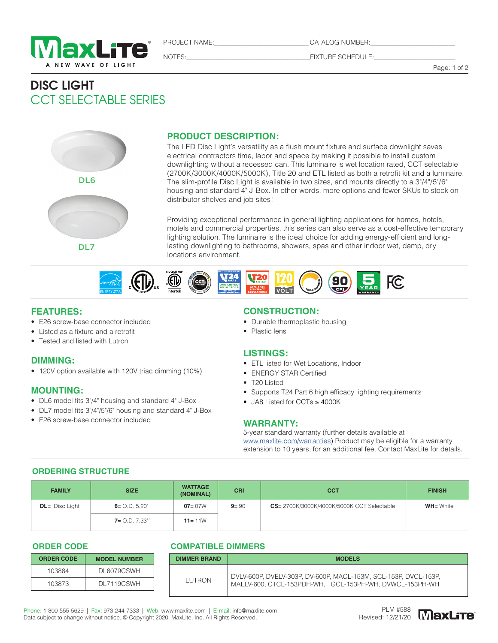

PROJECT NAME:\_\_\_\_\_\_\_\_\_\_\_\_\_\_\_\_\_\_\_\_\_\_\_\_\_\_\_\_\_ CATALOG NUMBER:\_\_\_\_\_\_\_\_\_\_\_\_\_\_\_\_\_\_\_\_\_\_\_\_\_\_

NOTES:\_\_\_\_\_\_\_\_\_\_\_\_\_\_\_\_\_\_\_\_\_\_\_\_\_\_\_\_\_\_\_\_\_\_\_\_\_\_FIXTURE SCHEDULE:\_\_\_\_\_\_\_\_\_\_\_\_\_\_\_\_\_\_\_\_\_\_\_\_\_

Page: 1 of 2

# DISC LIGHT CCT SELECTABLE SERIES



### **PRODUCT DESCRIPTION:**

The LED Disc Light's versatility as a flush mount fixture and surface downlight saves electrical contractors time, labor and space by making it possible to install custom downlighting without a recessed can. This luminaire is wet location rated, CCT selectable (2700K/3000K/4000K/5000K), Title 20 and ETL listed as both a retrofit kit and a luminaire. The slim-profile Disc Light is available in two sizes, and mounts directly to a 3"/4"/5"/6" housing and standard 4" J-Box. In other words, more options and fewer SKUs to stock on distributor shelves and job sites!

Providing exceptional performance in general lighting applications for homes, hotels, motels and commercial properties, this series can also serve as a cost-effective temporary lighting solution. The luminaire is the ideal choice for adding energy-efficient and longlasting downlighting to bathrooms, showers, spas and other indoor wet, damp, dry locations environment.



#### **FEATURES:**

- E26 screw-base connector included
- Listed as a fixture and a retrofit
- Tested and listed with Lutron

#### **DIMMING:**

• 120V option available with 120V triac dimming (10%)

#### **MOUNTING:**

- DL6 model fits 3"/4" housing and standard 4" J-Box
- DL7 model fits 3"/4"/5"/6" housing and standard 4" J-Box
- E26 screw-base connector included

#### **CONSTRUCTION:**

- Durable thermoplastic housing
- Plastic lens

#### **LISTINGS:**

- ETL listed for Wet Locations, Indoor
- ENERGY STAR Certified
- T20 Listed
- Supports T24 Part 6 high efficacy lighting requirements
- JA8 Listed for CCTs ≥ 4000K

#### **WARRANTY:**

5-year standard warranty (further details available at www.maxlite.com/warranties) Product may be eligible for a warranty extension to 10 years, for an additional fee. Contact MaxLite for details.

#### **ORDERING STRUCTURE**

| <b>FAMILY</b>     | <b>SIZE</b>        | <b>WATTAGE</b><br>(NOMINAL) | <b>CRI</b> | <b>CCT</b>                                        | <b>FINISH</b>    |
|-------------------|--------------------|-----------------------------|------------|---------------------------------------------------|------------------|
| $DL =$ Disc Light | $6 = 0. D. 5.20$ " | $07 = 07W$                  | $9 = 90$   | <b>CS=</b> 2700K/3000K/4000K/5000K CCT Selectable | <b>WH=</b> White |
|                   | $7 = 0. D. 7.33$ " | $11 = 11W$                  |            |                                                   |                  |

**ORDER CODE**

| <b>ORDER CODE</b> | <b>MODEL NUMBER</b> |
|-------------------|---------------------|
| 103864            | DI 6079CSWH         |
| 103873            | DL 7119CSWH         |

#### **COMPATIBLE DIMMERS**

| <b>DIMMER BRAND</b> | <b>MODELS</b>                                                                                                               |
|---------------------|-----------------------------------------------------------------------------------------------------------------------------|
| <b>LUTRON</b>       | DVLV-600P, DVELV-303P, DV-600P, MACL-153M, SCL-153P, DVCL-153P,<br>MAELV-600, CTCL-153PDH-WH, TGCL-153PH-WH, DVWCL-153PH-WH |